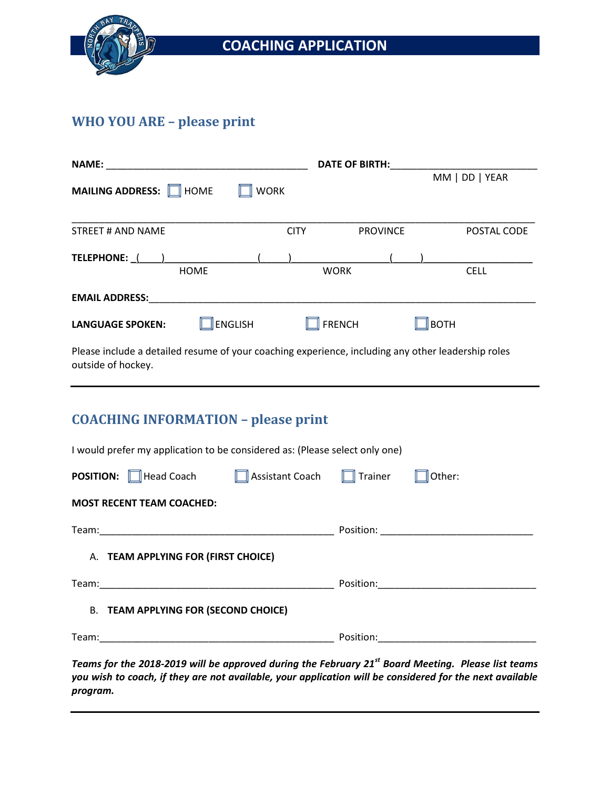

## **COACHING APPLICATION**

## **WHO YOU ARE – please print**

| <b>NAME:</b>                                                                                                             |                 | <b>DATE OF BIRTH:</b> |                  |  |
|--------------------------------------------------------------------------------------------------------------------------|-----------------|-----------------------|------------------|--|
| MAILING ADDRESS: IN HOME                                                                                                 | <b>WORK</b>     |                       | MM   DD   YEAR   |  |
| <b>STREET # AND NAME</b>                                                                                                 | <b>CITY</b>     | <b>PROVINCE</b>       | POSTAL CODE      |  |
| TELEPHONE: ( )                                                                                                           |                 |                       |                  |  |
| <b>HOME</b>                                                                                                              |                 | <b>WORK</b>           | <b>CELL</b>      |  |
| <b>EMAIL ADDRESS:</b>                                                                                                    |                 |                       |                  |  |
| <b>ENGLISH</b><br><b>LANGUAGE SPOKEN:</b>                                                                                |                 | <b>FRENCH</b>         | $\mathbb I$ BOTH |  |
| Please include a detailed resume of your coaching experience, including any other leadership roles<br>outside of hockey. |                 |                       |                  |  |
| <b>COACHING INFORMATION - please print</b>                                                                               |                 |                       |                  |  |
| I would prefer my application to be considered as: (Please select only one)                                              |                 |                       |                  |  |
| Head Coach<br><b>POSITION:</b>                                                                                           | Assistant Coach | Trainer               | Other:           |  |

#### **MOST RECENT TEAM COACHED:**

| Team: |                                                                                                                      |  |
|-------|----------------------------------------------------------------------------------------------------------------------|--|
|       | A. TEAM APPLYING FOR (FIRST CHOICE)                                                                                  |  |
| Team: |                                                                                                                      |  |
|       | <b>B. TEAM APPLYING FOR (SECOND CHOICE)</b>                                                                          |  |
| Team: | <u> 1990 - Johann John Harry Harry Harry Harry Harry Harry Harry Harry Harry Harry Harry Harry Harry Harry Harry</u> |  |

*Teams for the 2018-2019 will be approved during the February 21st Board Meeting. Please list teams you wish to coach, if they are not available, your application will be considered for the next available program.*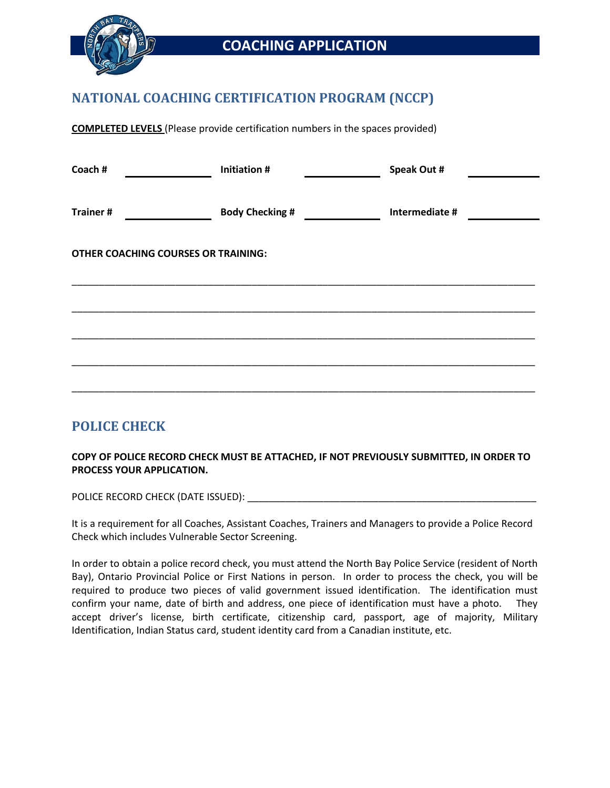

## **COACHING APPLICATION**

### **NATIONAL COACHING CERTIFICATION PROGRAM (NCCP)**

**COMPLETED LEVELS** (Please provide certification numbers in the spaces provided)

| Coach #                                    | <b>Initiation#</b>     | Speak Out #    |
|--------------------------------------------|------------------------|----------------|
|                                            |                        |                |
| <b>Trainer#</b>                            | <b>Body Checking #</b> | Intermediate # |
|                                            |                        |                |
| <b>OTHER COACHING COURSES OR TRAINING:</b> |                        |                |
|                                            |                        |                |
|                                            |                        |                |
|                                            |                        |                |
|                                            |                        |                |
|                                            |                        |                |
|                                            |                        |                |

### **POLICE CHECK**

#### **COPY OF POLICE RECORD CHECK MUST BE ATTACHED, IF NOT PREVIOUSLY SUBMITTED, IN ORDER TO PROCESS YOUR APPLICATION.**

POLICE RECORD CHECK (DATE ISSUED):  $\blacksquare$ 

It is a requirement for all Coaches, Assistant Coaches, Trainers and Managers to provide a Police Record Check which includes Vulnerable Sector Screening.

In order to obtain a police record check, you must attend the North Bay Police Service (resident of North Bay), Ontario Provincial Police or First Nations in person. In order to process the check, you will be required to produce two pieces of valid government issued identification. The identification must confirm your name, date of birth and address, one piece of identification must have a photo. They accept driver's license, birth certificate, citizenship card, passport, age of majority, Military Identification, Indian Status card, student identity card from a Canadian institute, etc.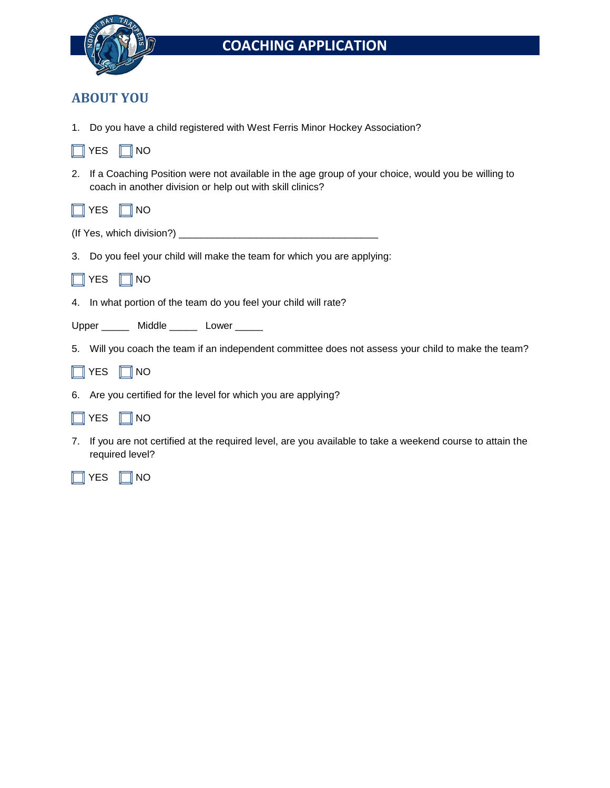

# **COACHING APPLICATION**

### **ABOUT YOU**

 $\sim$  100  $\mu$ 

1. Do you have a child registered with West Ferris Minor Hockey Association?

| $\Box$ YES $\Box$ NO                                                                                                                                               |
|--------------------------------------------------------------------------------------------------------------------------------------------------------------------|
| 2. If a Coaching Position were not available in the age group of your choice, would you be willing to<br>coach in another division or help out with skill clinics? |
| $\Box$ YES $\Box$ NO                                                                                                                                               |
|                                                                                                                                                                    |
| 3. Do you feel your child will make the team for which you are applying:                                                                                           |
| $\Box$ YES $\Box$ NO                                                                                                                                               |
| 4. In what portion of the team do you feel your child will rate?                                                                                                   |
| Upper _______ Middle ______ Lower _____                                                                                                                            |
| 5. Will you coach the team if an independent committee does not assess your child to make the team?                                                                |
| $\Box$ YES $\Box$ NO                                                                                                                                               |
| 6. Are you certified for the level for which you are applying?                                                                                                     |
| $\Box$ YES $\Box$ NO                                                                                                                                               |

7. If you are not certified at the required level, are you available to take a weekend course to attain the required level?